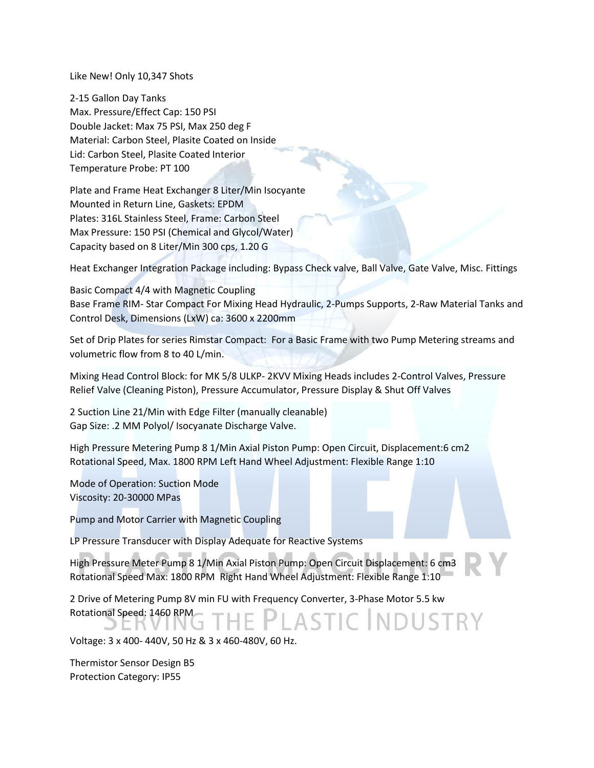Like New! Only 10,347 Shots

2-15 Gallon Day Tanks Max. Pressure/Effect Cap: 150 PSI Double Jacket: Max 75 PSI, Max 250 deg F Material: Carbon Steel, Plasite Coated on Inside Lid: Carbon Steel, Plasite Coated Interior Temperature Probe: PT 100

Plate and Frame Heat Exchanger 8 Liter/Min Isocyante Mounted in Return Line, Gaskets: EPDM Plates: 316L Stainless Steel, Frame: Carbon Steel Max Pressure: 150 PSI (Chemical and Glycol/Water) Capacity based on 8 Liter/Min 300 cps, 1.20 G

Heat Exchanger Integration Package including: Bypass Check valve, Ball Valve, Gate Valve, Misc. Fittings

Basic Compact 4/4 with Magnetic Coupling Base Frame RIM- Star Compact For Mixing Head Hydraulic, 2-Pumps Supports, 2-Raw Material Tanks and Control Desk, Dimensions (LxW) ca: 3600 x 2200mm

Set of Drip Plates for series Rimstar Compact: For a Basic Frame with two Pump Metering streams and volumetric flow from 8 to 40 L/min.

Mixing Head Control Block: for MK 5/8 ULKP- 2KVV Mixing Heads includes 2-Control Valves, Pressure Relief Valve (Cleaning Piston), Pressure Accumulator, Pressure Display & Shut Off Valves

2 Suction Line 21/Min with Edge Filter (manually cleanable) Gap Size: .2 MM Polyol/ Isocyanate Discharge Valve.

High Pressure Metering Pump 8 1/Min Axial Piston Pump: Open Circuit, Displacement:6 cm2 Rotational Speed, Max. 1800 RPM Left Hand Wheel Adjustment: Flexible Range 1:10

Mode of Operation: Suction Mode Viscosity: 20-30000 MPas

Pump and Motor Carrier with Magnetic Coupling

LP Pressure Transducer with Display Adequate for Reactive Systems

High Pressure Meter Pump 8 1/Min Axial Piston Pump: Open Circuit Displacement: 6 cm3 Rotational Speed Max: 1800 RPM Right Hand Wheel Adjustment: Flexible Range 1:10

2 Drive of Metering Pump 8V min FU with Frequency Converter, 3-Phase Motor 5.5 kw Rotational Speed: 1460 RPM **LASTIC INDUSTRY JERVING** 

Voltage: 3 x 400- 440V, 50 Hz & 3 x 460-480V, 60 Hz.

Thermistor Sensor Design B5 Protection Category: IP55